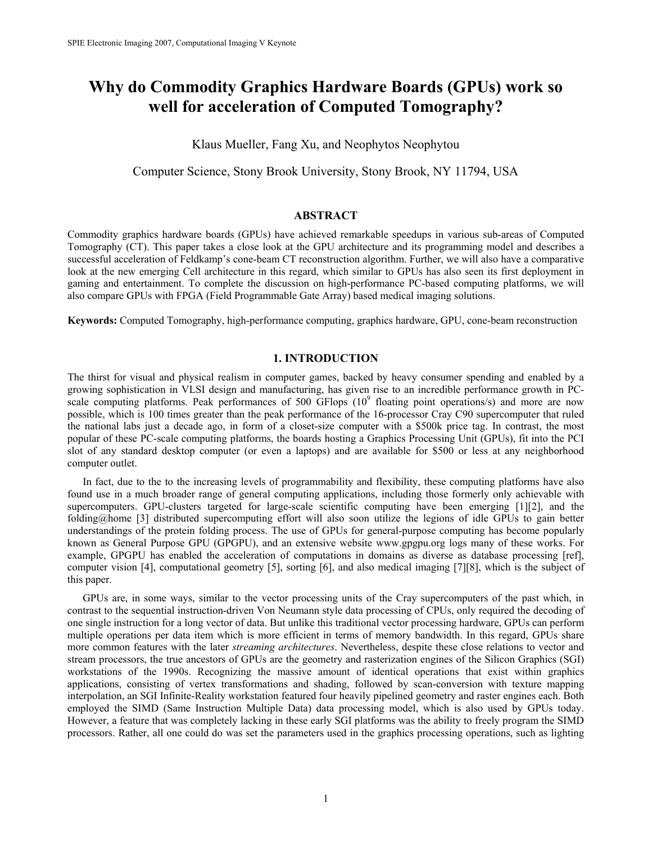# **Why do Commodity Graphics Hardware Boards (GPUs) work so well for acceleration of Computed Tomography?**

Klaus Mueller, Fang Xu, and Neophytos Neophytou

Computer Science, Stony Brook University, Stony Brook, NY 11794, USA

# **ABSTRACT**

Commodity graphics hardware boards (GPUs) have achieved remarkable speedups in various sub-areas of Computed Tomography (CT). This paper takes a close look at the GPU architecture and its programming model and describes a successful acceleration of Feldkamp's cone-beam CT reconstruction algorithm. Further, we will also have a comparative look at the new emerging Cell architecture in this regard, which similar to GPUs has also seen its first deployment in gaming and entertainment. To complete the discussion on high-performance PC-based computing platforms, we will also compare GPUs with FPGA (Field Programmable Gate Array) based medical imaging solutions.

**Keywords:** Computed Tomography, high-performance computing, graphics hardware, GPU, cone-beam reconstruction

### **1. INTRODUCTION**

The thirst for visual and physical realism in computer games, backed by heavy consumer spending and enabled by a growing sophistication in VLSI design and manufacturing, has given rise to an incredible performance growth in PCscale computing platforms. Peak performances of 500 GFlops (10<sup>9</sup> floating point operations/s) and more are now possible, which is 100 times greater than the peak performance of the 16-processor Cray C90 supercomputer that ruled the national labs just a decade ago, in form of a closet-size computer with a \$500k price tag. In contrast, the most popular of these PC-scale computing platforms, the boards hosting a Graphics Processing Unit (GPUs), fit into the PCI slot of any standard desktop computer (or even a laptops) and are available for \$500 or less at any neighborhood computer outlet.

In fact, due to the to the increasing levels of programmability and flexibility, these computing platforms have also found use in a much broader range of general computing applications, including those formerly only achievable with supercomputers. GPU-clusters targeted for large-scale scientific computing have been emerging [1][2], and the folding@home [3] distributed supercomputing effort will also soon utilize the legions of idle GPUs to gain better understandings of the protein folding process. The use of GPUs for general-purpose computing has become popularly known as General Purpose GPU (GPGPU), and an extensive website www.gpgpu.org logs many of these works. For example, GPGPU has enabled the acceleration of computations in domains as diverse as database processing [ref], computer vision [4], computational geometry [5], sorting [6], and also medical imaging [7][8], which is the subject of this paper.

GPUs are, in some ways, similar to the vector processing units of the Cray supercomputers of the past which, in contrast to the sequential instruction-driven Von Neumann style data processing of CPUs, only required the decoding of one single instruction for a long vector of data. But unlike this traditional vector processing hardware, GPUs can perform multiple operations per data item which is more efficient in terms of memory bandwidth. In this regard, GPUs share more common features with the later *streaming architectures*. Nevertheless, despite these close relations to vector and stream processors, the true ancestors of GPUs are the geometry and rasterization engines of the Silicon Graphics (SGI) workstations of the 1990s. Recognizing the massive amount of identical operations that exist within graphics applications, consisting of vertex transformations and shading, followed by scan-conversion with texture mapping interpolation, an SGI Infinite-Reality workstation featured four heavily pipelined geometry and raster engines each. Both employed the SIMD (Same Instruction Multiple Data) data processing model, which is also used by GPUs today. However, a feature that was completely lacking in these early SGI platforms was the ability to freely program the SIMD processors. Rather, all one could do was set the parameters used in the graphics processing operations, such as lighting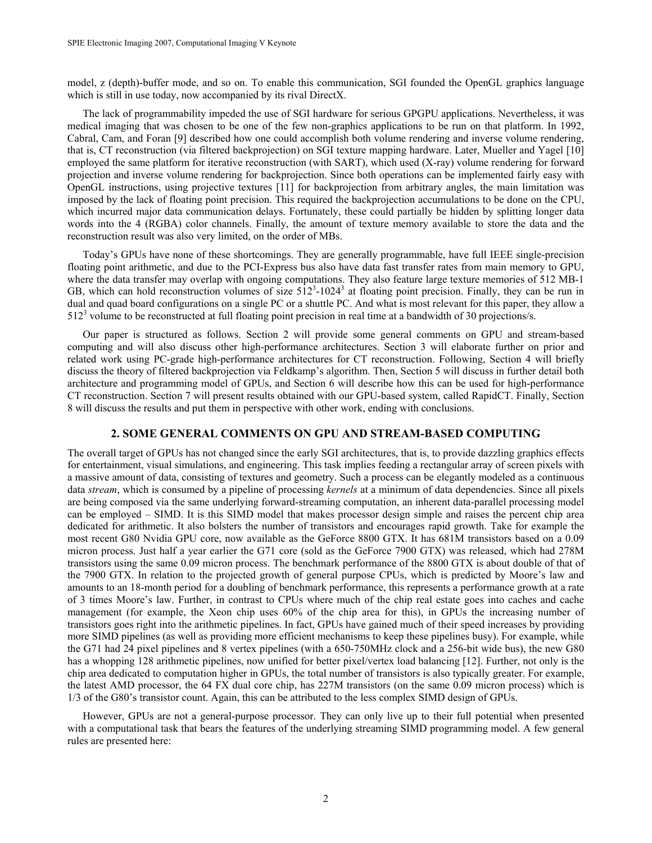model, z (depth)-buffer mode, and so on. To enable this communication, SGI founded the OpenGL graphics language which is still in use today, now accompanied by its rival DirectX.

The lack of programmability impeded the use of SGI hardware for serious GPGPU applications. Nevertheless, it was medical imaging that was chosen to be one of the few non-graphics applications to be run on that platform. In 1992, Cabral, Cam, and Foran [9] described how one could accomplish both volume rendering and inverse volume rendering, that is, CT reconstruction (via filtered backprojection) on SGI texture mapping hardware. Later, Mueller and Yagel [10] employed the same platform for iterative reconstruction (with SART), which used (X-ray) volume rendering for forward projection and inverse volume rendering for backprojection. Since both operations can be implemented fairly easy with OpenGL instructions, using projective textures [11] for backprojection from arbitrary angles, the main limitation was imposed by the lack of floating point precision. This required the backprojection accumulations to be done on the CPU, which incurred major data communication delays. Fortunately, these could partially be hidden by splitting longer data words into the 4 (RGBA) color channels. Finally, the amount of texture memory available to store the data and the reconstruction result was also very limited, on the order of MBs.

Today's GPUs have none of these shortcomings. They are generally programmable, have full IEEE single-precision floating point arithmetic, and due to the PCI-Express bus also have data fast transfer rates from main memory to GPU, where the data transfer may overlap with ongoing computations. They also feature large texture memories of 512 MB-1 GB, which can hold reconstruction volumes of size  $512<sup>3</sup>$ -1024<sup>3</sup> at floating point precision. Finally, they can be run in dual and quad board configurations on a single PC or a shuttle PC. And what is most relevant for this paper, they allow a 512<sup>3</sup> volume to be reconstructed at full floating point precision in real time at a bandwidth of 30 projections/s.

Our paper is structured as follows. Section 2 will provide some general comments on GPU and stream-based computing and will also discuss other high-performance architectures. Section 3 will elaborate further on prior and related work using PC-grade high-performance architectures for CT reconstruction. Following, Section 4 will briefly discuss the theory of filtered backprojection via Feldkamp's algorithm. Then, Section 5 will discuss in further detail both architecture and programming model of GPUs, and Section 6 will describe how this can be used for high-performance CT reconstruction. Section 7 will present results obtained with our GPU-based system, called RapidCT. Finally, Section 8 will discuss the results and put them in perspective with other work, ending with conclusions.

### **2. SOME GENERAL COMMENTS ON GPU AND STREAM-BASED COMPUTING**

The overall target of GPUs has not changed since the early SGI architectures, that is, to provide dazzling graphics effects for entertainment, visual simulations, and engineering. This task implies feeding a rectangular array of screen pixels with a massive amount of data, consisting of textures and geometry. Such a process can be elegantly modeled as a continuous data *stream*, which is consumed by a pipeline of processing *kernels* at a minimum of data dependencies. Since all pixels are being composed via the same underlying forward-streaming computation, an inherent data-parallel processing model can be employed – SIMD. It is this SIMD model that makes processor design simple and raises the percent chip area dedicated for arithmetic. It also bolsters the number of transistors and encourages rapid growth. Take for example the most recent G80 Nvidia GPU core, now available as the GeForce 8800 GTX. It has 681M transistors based on a 0.09 micron process. Just half a year earlier the G71 core (sold as the GeForce 7900 GTX) was released, which had 278M transistors using the same 0.09 micron process. The benchmark performance of the 8800 GTX is about double of that of the 7900 GTX. In relation to the projected growth of general purpose CPUs, which is predicted by Moore's law and amounts to an 18-month period for a doubling of benchmark performance, this represents a performance growth at a rate of 3 times Moore's law. Further, in contrast to CPUs where much of the chip real estate goes into caches and cache management (for example, the Xeon chip uses 60% of the chip area for this), in GPUs the increasing number of transistors goes right into the arithmetic pipelines. In fact, GPUs have gained much of their speed increases by providing more SIMD pipelines (as well as providing more efficient mechanisms to keep these pipelines busy). For example, while the G71 had 24 pixel pipelines and 8 vertex pipelines (with a 650-750MHz clock and a 256-bit wide bus), the new G80 has a whopping 128 arithmetic pipelines, now unified for better pixel/vertex load balancing [12]. Further, not only is the chip area dedicated to computation higher in GPUs, the total number of transistors is also typically greater. For example, the latest AMD processor, the 64 FX dual core chip, has 227M transistors (on the same 0.09 micron process) which is 1/3 of the G80's transistor count. Again, this can be attributed to the less complex SIMD design of GPUs.

However, GPUs are not a general-purpose processor. They can only live up to their full potential when presented with a computational task that bears the features of the underlying streaming SIMD programming model. A few general rules are presented here: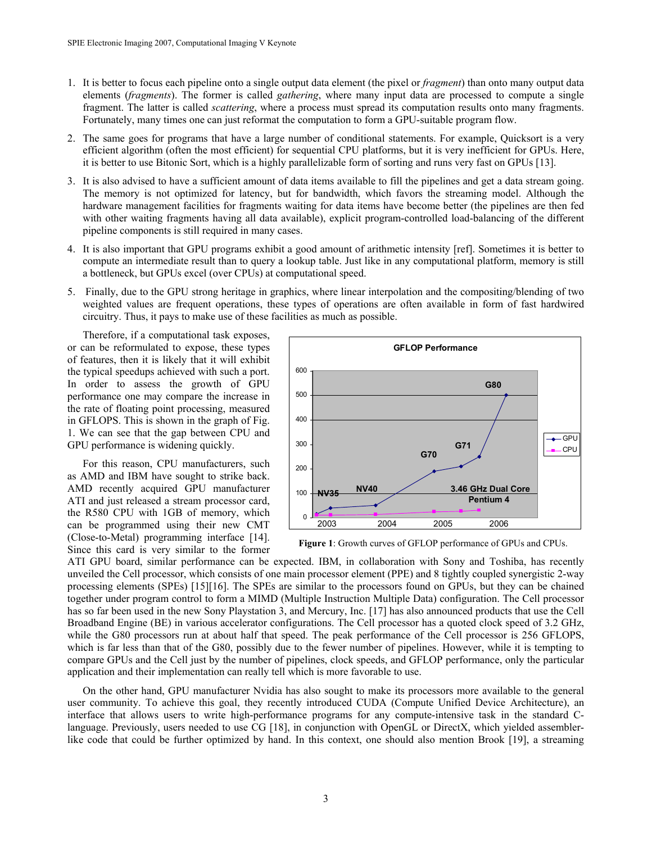- 1. It is better to focus each pipeline onto a single output data element (the pixel or *fragment*) than onto many output data elements (*fragments*). The former is called *gathering*, where many input data are processed to compute a single fragment. The latter is called *scattering*, where a process must spread its computation results onto many fragments. Fortunately, many times one can just reformat the computation to form a GPU-suitable program flow.
- 2. The same goes for programs that have a large number of conditional statements. For example, Quicksort is a very efficient algorithm (often the most efficient) for sequential CPU platforms, but it is very inefficient for GPUs. Here, it is better to use Bitonic Sort, which is a highly parallelizable form of sorting and runs very fast on GPUs [13].
- 3. It is also advised to have a sufficient amount of data items available to fill the pipelines and get a data stream going. The memory is not optimized for latency, but for bandwidth, which favors the streaming model. Although the hardware management facilities for fragments waiting for data items have become better (the pipelines are then fed with other waiting fragments having all data available), explicit program-controlled load-balancing of the different pipeline components is still required in many cases.
- 4. It is also important that GPU programs exhibit a good amount of arithmetic intensity [ref]. Sometimes it is better to compute an intermediate result than to query a lookup table. Just like in any computational platform, memory is still a bottleneck, but GPUs excel (over CPUs) at computational speed.
- 5. Finally, due to the GPU strong heritage in graphics, where linear interpolation and the compositing/blending of two weighted values are frequent operations, these types of operations are often available in form of fast hardwired circuitry. Thus, it pays to make use of these facilities as much as possible.

Therefore, if a computational task exposes, or can be reformulated to expose, these types of features, then it is likely that it will exhibit the typical speedups achieved with such a port. In order to assess the growth of GPU performance one may compare the increase in the rate of floating point processing, measured in GFLOPS. This is shown in the graph of Fig. 1. We can see that the gap between CPU and GPU performance is widening quickly.

For this reason, CPU manufacturers, such as AMD and IBM have sought to strike back. AMD recently acquired GPU manufacturer ATI and just released a stream processor card, the R580 CPU with 1GB of memory, which can be programmed using their new CMT (Close-to-Metal) programming interface [14]. Since this card is very similar to the former



**Figure 1**: Growth curves of GFLOP performance of GPUs and CPUs.

ATI GPU board, similar performance can be expected. IBM, in collaboration with Sony and Toshiba, has recently unveiled the Cell processor, which consists of one main processor element (PPE) and 8 tightly coupled synergistic 2-way processing elements (SPEs) [15][16]. The SPEs are similar to the processors found on GPUs, but they can be chained together under program control to form a MIMD (Multiple Instruction Multiple Data) configuration. The Cell processor has so far been used in the new Sony Playstation 3, and Mercury, Inc. [17] has also announced products that use the Cell Broadband Engine (BE) in various accelerator configurations. The Cell processor has a quoted clock speed of 3.2 GHz, while the G80 processors run at about half that speed. The peak performance of the Cell processor is 256 GFLOPS, which is far less than that of the G80, possibly due to the fewer number of pipelines. However, while it is tempting to compare GPUs and the Cell just by the number of pipelines, clock speeds, and GFLOP performance, only the particular application and their implementation can really tell which is more favorable to use.

On the other hand, GPU manufacturer Nvidia has also sought to make its processors more available to the general user community. To achieve this goal, they recently introduced CUDA (Compute Unified Device Architecture), an interface that allows users to write high-performance programs for any compute-intensive task in the standard Clanguage. Previously, users needed to use CG [18], in conjunction with OpenGL or DirectX, which yielded assemblerlike code that could be further optimized by hand. In this context, one should also mention Brook [19], a streaming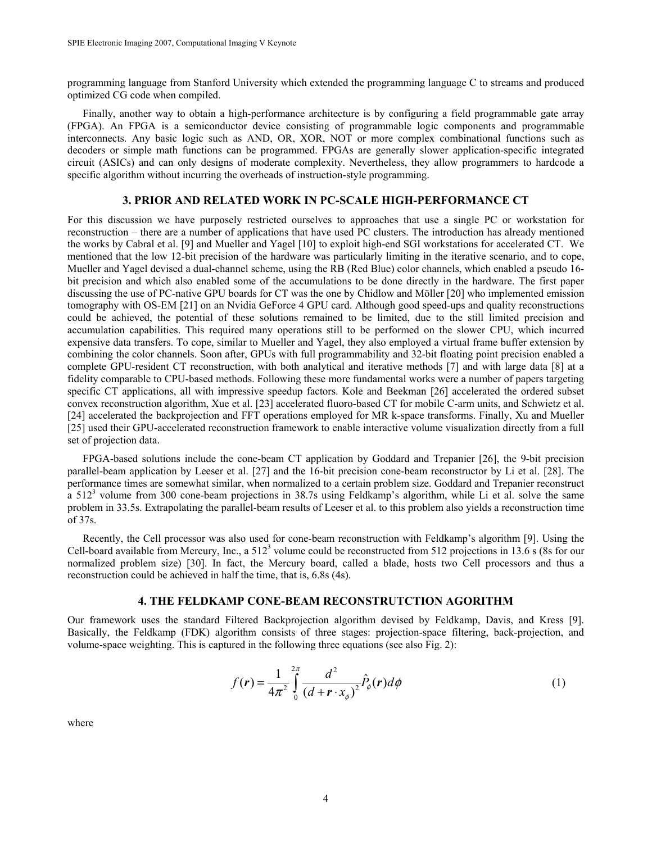programming language from Stanford University which extended the programming language C to streams and produced optimized CG code when compiled.

Finally, another way to obtain a high-performance architecture is by configuring a field programmable gate array (FPGA). An FPGA is a semiconductor device consisting of programmable logic components and programmable interconnects. Any basic logic such as AND, OR, XOR, NOT or more complex combinational functions such as decoders or simple math functions can be programmed. FPGAs are generally slower application-specific integrated circuit (ASICs) and can only designs of moderate complexity. Nevertheless, they allow programmers to hardcode a specific algorithm without incurring the overheads of instruction-style programming.

# **3. PRIOR AND RELATED WORK IN PC-SCALE HIGH-PERFORMANCE CT**

For this discussion we have purposely restricted ourselves to approaches that use a single PC or workstation for reconstruction – there are a number of applications that have used PC clusters. The introduction has already mentioned the works by Cabral et al. [9] and Mueller and Yagel [10] to exploit high-end SGI workstations for accelerated CT. We mentioned that the low 12-bit precision of the hardware was particularly limiting in the iterative scenario, and to cope, Mueller and Yagel devised a dual-channel scheme, using the RB (Red Blue) color channels, which enabled a pseudo 16 bit precision and which also enabled some of the accumulations to be done directly in the hardware. The first paper discussing the use of PC-native GPU boards for CT was the one by Chidlow and Möller [20] who implemented emission tomography with OS-EM [21] on an Nvidia GeForce 4 GPU card. Although good speed-ups and quality reconstructions could be achieved, the potential of these solutions remained to be limited, due to the still limited precision and accumulation capabilities. This required many operations still to be performed on the slower CPU, which incurred expensive data transfers. To cope, similar to Mueller and Yagel, they also employed a virtual frame buffer extension by combining the color channels. Soon after, GPUs with full programmability and 32-bit floating point precision enabled a complete GPU-resident CT reconstruction, with both analytical and iterative methods [7] and with large data [8] at a fidelity comparable to CPU-based methods. Following these more fundamental works were a number of papers targeting specific CT applications, all with impressive speedup factors. Kole and Beekman [26] accelerated the ordered subset convex reconstruction algorithm, Xue et al. [23] accelerated fluoro-based CT for mobile C-arm units, and Schwietz et al. [24] accelerated the backprojection and FFT operations employed for MR k-space transforms. Finally, Xu and Mueller [25] used their GPU-accelerated reconstruction framework to enable interactive volume visualization directly from a full set of projection data.

FPGA-based solutions include the cone-beam CT application by Goddard and Trepanier [26], the 9-bit precision parallel-beam application by Leeser et al. [27] and the 16-bit precision cone-beam reconstructor by Li et al. [28]. The performance times are somewhat similar, when normalized to a certain problem size. Goddard and Trepanier reconstruct  $\alpha$  512<sup>3</sup> volume from 300 cone-beam projections in 38.7s using Feldkamp's algorithm, while Li et al. solve the same problem in 33.5s. Extrapolating the parallel-beam results of Leeser et al. to this problem also yields a reconstruction time of 37s.

Recently, the Cell processor was also used for cone-beam reconstruction with Feldkamp's algorithm [9]. Using the Cell-board available from Mercury, Inc., a  $512<sup>3</sup>$  volume could be reconstructed from  $512$  projections in  $13.6$  s (8s for our normalized problem size) [30]. In fact, the Mercury board, called a blade, hosts two Cell processors and thus a reconstruction could be achieved in half the time, that is, 6.8s (4s).

#### **4. THE FELDKAMP CONE-BEAM RECONSTRUTCTION AGORITHM**

Our framework uses the standard Filtered Backprojection algorithm devised by Feldkamp, Davis, and Kress [9]. Basically, the Feldkamp (FDK) algorithm consists of three stages: projection-space filtering, back-projection, and volume-space weighting. This is captured in the following three equations (see also Fig. 2):

$$
f(\mathbf{r}) = \frac{1}{4\pi^2} \int_0^{2\pi} \frac{d^2}{\left(d + \mathbf{r} \cdot \mathbf{x}_{\phi}\right)^2} \hat{P}_{\phi}(\mathbf{r}) d\phi
$$
 (1)

where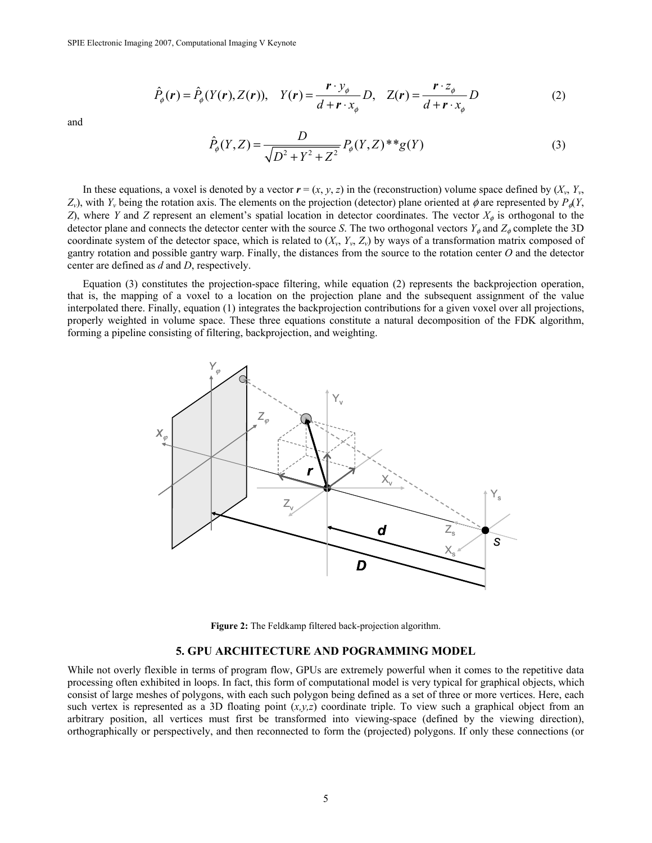$$
\hat{P}_{\phi}(r) = \hat{P}_{\phi}(Y(r), Z(r)), \quad Y(r) = \frac{r \cdot y_{\phi}}{d + r \cdot x_{\phi}} D, \quad Z(r) = \frac{r \cdot z_{\phi}}{d + r \cdot x_{\phi}} D
$$
\n(2)

and

$$
\hat{P}_{\phi}(Y,Z) = \frac{D}{\sqrt{D^2 + Y^2 + Z^2}} P_{\phi}(Y,Z)^{**} g(Y)
$$
\n(3)

In these equations, a voxel is denoted by a vector  $r = (x, y, z)$  in the (reconstruction) volume space defined by  $(X_y, Y_y, z_y)$  $Z_v$ ), with  $Y_v$  being the rotation axis. The elements on the projection (detector) plane oriented at  $\phi$  are represented by  $P_{\phi}(Y, Y)$ *Z*), where *Y* and *Z* represent an element's spatial location in detector coordinates. The vector  $X_{\phi}$  is orthogonal to the detector plane and connects the detector center with the source *S*. The two orthogonal vectors *Y*<sup>φ</sup> and *Z*φ complete the 3D coordinate system of the detector space, which is related to  $(X_v, Y_v, Z_v)$  by ways of a transformation matrix composed of gantry rotation and possible gantry warp. Finally, the distances from the source to the rotation center *O* and the detector center are defined as *d* and *D*, respectively.

Equation (3) constitutes the projection-space filtering, while equation (2) represents the backprojection operation, that is, the mapping of a voxel to a location on the projection plane and the subsequent assignment of the value interpolated there. Finally, equation (1) integrates the backprojection contributions for a given voxel over all projections, properly weighted in volume space. These three equations constitute a natural decomposition of the FDK algorithm, forming a pipeline consisting of filtering, backprojection, and weighting.



**Figure 2:** The Feldkamp filtered back-projection algorithm.

#### **5. GPU ARCHITECTURE AND POGRAMMING MODEL**

While not overly flexible in terms of program flow, GPUs are extremely powerful when it comes to the repetitive data processing often exhibited in loops. In fact, this form of computational model is very typical for graphical objects, which consist of large meshes of polygons, with each such polygon being defined as a set of three or more vertices. Here, each such vertex is represented as a 3D floating point  $(x, y, z)$  coordinate triple. To view such a graphical object from an arbitrary position, all vertices must first be transformed into viewing-space (defined by the viewing direction), orthographically or perspectively, and then reconnected to form the (projected) polygons. If only these connections (or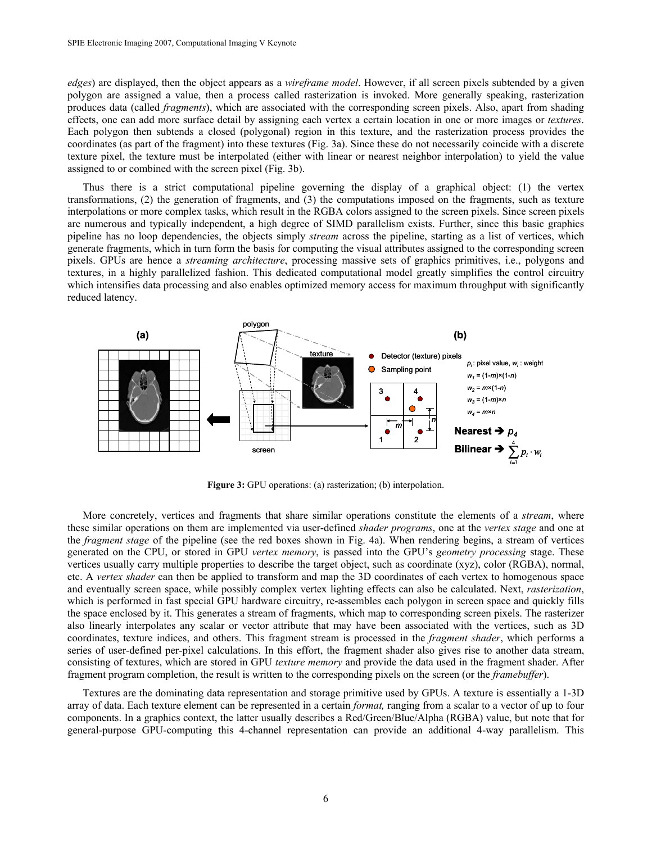*edges*) are displayed, then the object appears as a *wireframe model*. However, if all screen pixels subtended by a given polygon are assigned a value, then a process called rasterization is invoked. More generally speaking, rasterization produces data (called *fragments*), which are associated with the corresponding screen pixels. Also, apart from shading effects, one can add more surface detail by assigning each vertex a certain location in one or more images or *textures*. Each polygon then subtends a closed (polygonal) region in this texture, and the rasterization process provides the coordinates (as part of the fragment) into these textures (Fig. 3a). Since these do not necessarily coincide with a discrete texture pixel, the texture must be interpolated (either with linear or nearest neighbor interpolation) to yield the value assigned to or combined with the screen pixel (Fig. 3b).

Thus there is a strict computational pipeline governing the display of a graphical object: (1) the vertex transformations, (2) the generation of fragments, and (3) the computations imposed on the fragments, such as texture interpolations or more complex tasks, which result in the RGBA colors assigned to the screen pixels. Since screen pixels are numerous and typically independent, a high degree of SIMD parallelism exists. Further, since this basic graphics pipeline has no loop dependencies, the objects simply *stream* across the pipeline, starting as a list of vertices, which generate fragments, which in turn form the basis for computing the visual attributes assigned to the corresponding screen pixels. GPUs are hence a *streaming architecture*, processing massive sets of graphics primitives, i.e., polygons and textures, in a highly parallelized fashion. This dedicated computational model greatly simplifies the control circuitry which intensifies data processing and also enables optimized memory access for maximum throughput with significantly reduced latency.



**Figure 3:** GPU operations: (a) rasterization; (b) interpolation.

More concretely, vertices and fragments that share similar operations constitute the elements of a *stream*, where these similar operations on them are implemented via user-defined *shader programs*, one at the *vertex stage* and one at the *fragment stage* of the pipeline (see the red boxes shown in Fig. 4a). When rendering begins, a stream of vertices generated on the CPU, or stored in GPU *vertex memory*, is passed into the GPU's *geometry processing* stage. These vertices usually carry multiple properties to describe the target object, such as coordinate (xyz), color (RGBA), normal, etc. A *vertex shader* can then be applied to transform and map the 3D coordinates of each vertex to homogenous space and eventually screen space, while possibly complex vertex lighting effects can also be calculated. Next, *rasterization*, which is performed in fast special GPU hardware circuitry, re-assembles each polygon in screen space and quickly fills the space enclosed by it. This generates a stream of fragments, which map to corresponding screen pixels. The rasterizer also linearly interpolates any scalar or vector attribute that may have been associated with the vertices, such as 3D coordinates, texture indices, and others. This fragment stream is processed in the *fragment shader*, which performs a series of user-defined per-pixel calculations. In this effort, the fragment shader also gives rise to another data stream, consisting of textures, which are stored in GPU *texture memory* and provide the data used in the fragment shader. After fragment program completion, the result is written to the corresponding pixels on the screen (or the *framebuffer*).

Textures are the dominating data representation and storage primitive used by GPUs. A texture is essentially a 1-3D array of data. Each texture element can be represented in a certain *format,* ranging from a scalar to a vector of up to four components. In a graphics context, the latter usually describes a Red/Green/Blue/Alpha (RGBA) value, but note that for general-purpose GPU-computing this 4-channel representation can provide an additional 4-way parallelism. This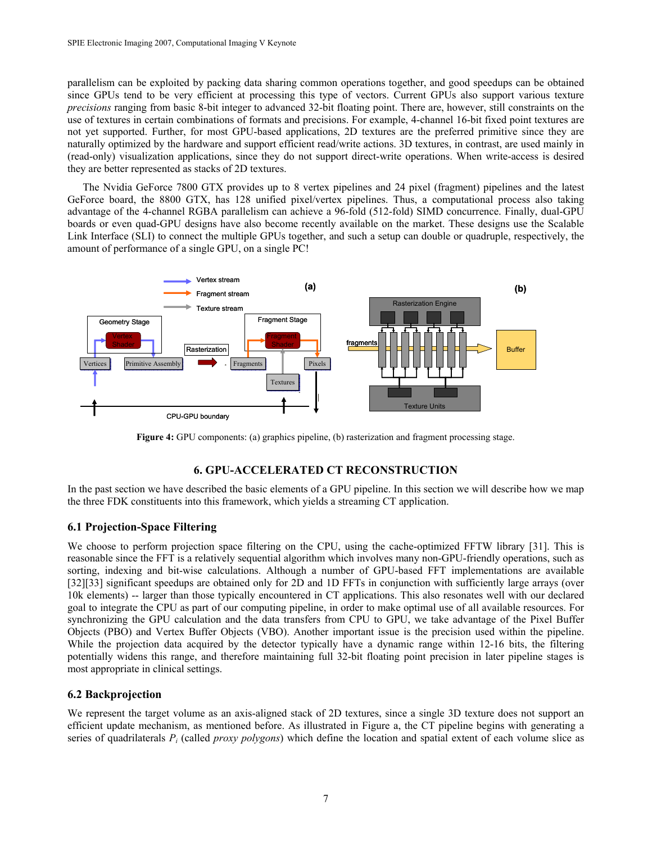parallelism can be exploited by packing data sharing common operations together, and good speedups can be obtained since GPUs tend to be very efficient at processing this type of vectors. Current GPUs also support various texture *precisions* ranging from basic 8-bit integer to advanced 32-bit floating point. There are, however, still constraints on the use of textures in certain combinations of formats and precisions. For example, 4-channel 16-bit fixed point textures are not yet supported. Further, for most GPU-based applications, 2D textures are the preferred primitive since they are naturally optimized by the hardware and support efficient read/write actions. 3D textures, in contrast, are used mainly in (read-only) visualization applications, since they do not support direct-write operations. When write-access is desired they are better represented as stacks of 2D textures.

The Nvidia GeForce 7800 GTX provides up to 8 vertex pipelines and 24 pixel (fragment) pipelines and the latest GeForce board, the 8800 GTX, has 128 unified pixel/vertex pipelines. Thus, a computational process also taking advantage of the 4-channel RGBA parallelism can achieve a 96-fold (512-fold) SIMD concurrence. Finally, dual-GPU boards or even quad-GPU designs have also become recently available on the market. These designs use the Scalable Link Interface (SLI) to connect the multiple GPUs together, and such a setup can double or quadruple, respectively, the amount of performance of a single GPU, on a single PC!



**Figure 4:** GPU components: (a) graphics pipeline, (b) rasterization and fragment processing stage.

# **6. GPU-ACCELERATED CT RECONSTRUCTION**

In the past section we have described the basic elements of a GPU pipeline. In this section we will describe how we map the three FDK constituents into this framework, which yields a streaming CT application.

# **6.1 Projection-Space Filtering**

We choose to perform projection space filtering on the CPU, using the cache-optimized FFTW library [31]. This is reasonable since the FFT is a relatively sequential algorithm which involves many non-GPU-friendly operations, such as sorting, indexing and bit-wise calculations. Although a number of GPU-based FFT implementations are available [32][33] significant speedups are obtained only for 2D and 1D FFTs in conjunction with sufficiently large arrays (over 10k elements) -- larger than those typically encountered in CT applications. This also resonates well with our declared goal to integrate the CPU as part of our computing pipeline, in order to make optimal use of all available resources. For synchronizing the GPU calculation and the data transfers from CPU to GPU, we take advantage of the Pixel Buffer Objects (PBO) and Vertex Buffer Objects (VBO). Another important issue is the precision used within the pipeline. While the projection data acquired by the detector typically have a dynamic range within 12-16 bits, the filtering potentially widens this range, and therefore maintaining full 32-bit floating point precision in later pipeline stages is most appropriate in clinical settings.

# **6.2 Backprojection**

We represent the target volume as an axis-aligned stack of 2D textures, since a single 3D texture does not support an efficient update mechanism, as mentioned before. As illustrated in Figure a, the CT pipeline begins with generating a series of quadrilaterals *Pi* (called *proxy polygons*) which define the location and spatial extent of each volume slice as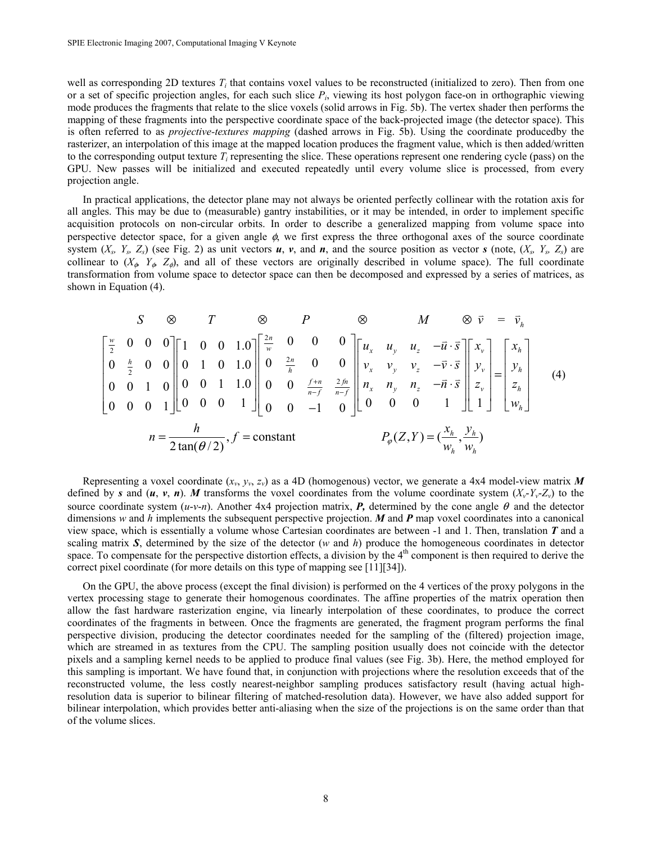well as corresponding 2D textures  $T_i$  that contains voxel values to be reconstructed (initialized to zero). Then from one or a set of specific projection angles, for each such slice *Pi*, viewing its host polygon face-on in orthographic viewing mode produces the fragments that relate to the slice voxels (solid arrows in Fig. 5b). The vertex shader then performs the mapping of these fragments into the perspective coordinate space of the back-projected image (the detector space). This is often referred to as *projective-textures mapping* (dashed arrows in Fig. 5b). Using the coordinate producedby the rasterizer, an interpolation of this image at the mapped location produces the fragment value, which is then added/written to the corresponding output texture  $T_i$  representing the slice. These operations represent one rendering cycle (pass) on the GPU. New passes will be initialized and executed repeatedly until every volume slice is processed, from every projection angle.

In practical applications, the detector plane may not always be oriented perfectly collinear with the rotation axis for all angles. This may be due to (measurable) gantry instabilities, or it may be intended, in order to implement specific acquisition protocols on non-circular orbits. In order to describe a generalized mapping from volume space into perspective detector space, for a given angle  $\phi$ , we first express the three orthogonal axes of the source coordinate system  $(X_s, Y_s, Z_s)$  (see Fig. 2) as unit vectors  $u, v$ , and  $n$ , and the source position as vector *s* (note,  $(X_s, Y_s, Z_s)$  are collinear to  $(X_{\phi}, Y_{\phi}, Z_{\phi})$ , and all of these vectors are originally described in volume space). The full coordinate transformation from volume space to detector space can then be decomposed and expressed by a series of matrices, as shown in Equation (4).

$$
\begin{array}{ccc}\nS & \otimes & T & \otimes & P & \otimes & M & \otimes \bar{v} = \bar{v}_h \\
\frac{w}{2} & 0 & 0 & 0 \\
0 & \frac{h}{2} & 0 & 0 \\
0 & 0 & 1 & 0 \\
0 & 0 & 0 & 1\n\end{array}\n\begin{bmatrix}\n1 & 0 & 0 & 1.0 \\
0 & 1 & 0 & 1.0 \\
0 & 0 & 1 & 1.0 \\
0 & 0 & 0 & 1\n\end{bmatrix}\n\begin{bmatrix}\n\frac{2n}{w} & 0 & 0 & 0 \\
0 & \frac{2n}{h} & 0 & 0 \\
0 & 0 & \frac{f+n}{n-f} & \frac{2fn}{n-f} \\
0 & 0 & -1 & 0\n\end{bmatrix}\n\begin{bmatrix}\nu_x & \nu_y & \nu_z & -\bar{v} \cdot \bar{s} \\
v_x & \nu_y & \nu_z & -\bar{v} \cdot \bar{s} \\
n_x & n_y & n_z & -\bar{n} \cdot \bar{s} \\
n_y & n_z & -\bar{n} \cdot \bar{s} \\
0 & 0 & 0 & 1\n\end{bmatrix}\n\begin{bmatrix}\nx_h \\
y_h \\
z_v \\
w_h\n\end{bmatrix} = \n\begin{bmatrix}\nx_h \\
y_h \\
z_h \\
w_h\n\end{bmatrix}
$$
\n(4)\n
$$
n = \frac{h}{2\tan(\theta/2)}, f = \text{constant}
$$
\n
$$
P_{\varphi}(Z, Y) = (\frac{x_h}{w_h}, \frac{y_h}{w_h})
$$

Representing a voxel coordinate (*xv*, *yv*, *zv*) as a 4D (homogenous) vector, we generate a 4x4 model-view matrix *M* defined by *s* and  $(u, v, n)$ . *M* transforms the voxel coordinates from the volume coordinate system  $(X_v - Y_v - Z_v)$  to the source coordinate system  $(u-v_n)$ . Another 4x4 projection matrix, **P**, determined by the cone angle  $\theta$  and the detector dimensions *w* and *h* implements the subsequent perspective projection. *M* and *P* map voxel coordinates into a canonical view space, which is essentially a volume whose Cartesian coordinates are between -1 and 1. Then, translation *T* and a scaling matrix  $S$ , determined by the size of the detector ( $w$  and  $h$ ) produce the homogeneous coordinates in detector space. To compensate for the perspective distortion effects, a division by the  $4<sup>th</sup>$  component is then required to derive the correct pixel coordinate (for more details on this type of mapping see [11][34]).

On the GPU, the above process (except the final division) is performed on the 4 vertices of the proxy polygons in the vertex processing stage to generate their homogenous coordinates. The affine properties of the matrix operation then allow the fast hardware rasterization engine, via linearly interpolation of these coordinates, to produce the correct coordinates of the fragments in between. Once the fragments are generated, the fragment program performs the final perspective division, producing the detector coordinates needed for the sampling of the (filtered) projection image, which are streamed in as textures from the CPU. The sampling position usually does not coincide with the detector pixels and a sampling kernel needs to be applied to produce final values (see Fig. 3b). Here, the method employed for this sampling is important. We have found that, in conjunction with projections where the resolution exceeds that of the reconstructed volume, the less costly nearest-neighbor sampling produces satisfactory result (having actual highresolution data is superior to bilinear filtering of matched-resolution data). However, we have also added support for bilinear interpolation, which provides better anti-aliasing when the size of the projections is on the same order than that of the volume slices.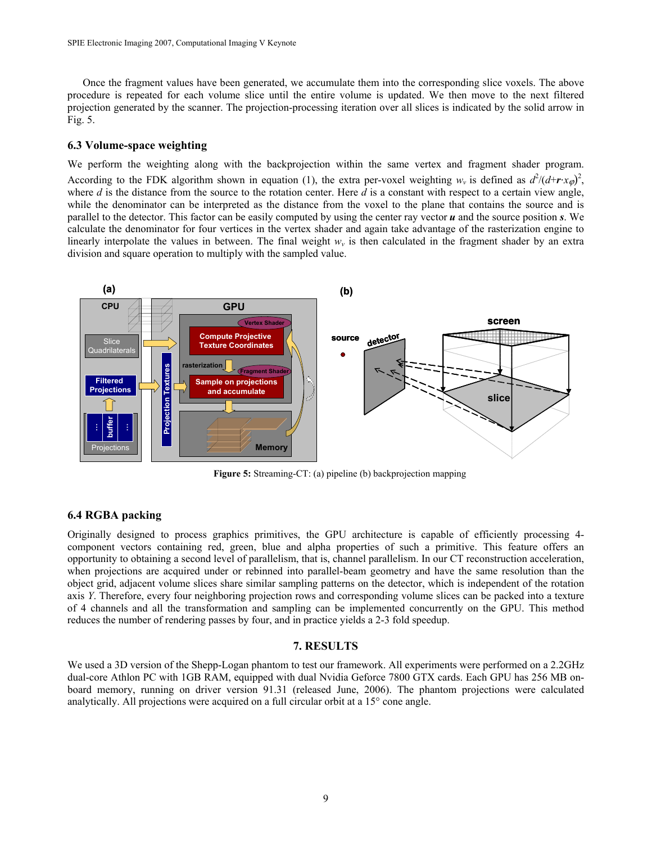Once the fragment values have been generated, we accumulate them into the corresponding slice voxels. The above procedure is repeated for each volume slice until the entire volume is updated. We then move to the next filtered projection generated by the scanner. The projection-processing iteration over all slices is indicated by the solid arrow in Fig. 5.

### **6.3 Volume-space weighting**

We perform the weighting along with the backprojection within the same vertex and fragment shader program. According to the FDK algorithm shown in equation (1), the extra per-voxel weighting  $w<sub>v</sub>$  is defined as  $d^2/(d+r \cdot x_{\varphi})^2$ , where *d* is the distance from the source to the rotation center. Here *d* is a constant with respect to a certain view angle, while the denominator can be interpreted as the distance from the voxel to the plane that contains the source and is parallel to the detector. This factor can be easily computed by using the center ray vector *u* and the source position *s*. We calculate the denominator for four vertices in the vertex shader and again take advantage of the rasterization engine to linearly interpolate the values in between. The final weight  $w<sub>v</sub>$  is then calculated in the fragment shader by an extra division and square operation to multiply with the sampled value.



Figure 5: Streaming-CT: (a) pipeline (b) backprojection mapping

### **6.4 RGBA packing**

Originally designed to process graphics primitives, the GPU architecture is capable of efficiently processing 4 component vectors containing red, green, blue and alpha properties of such a primitive. This feature offers an opportunity to obtaining a second level of parallelism, that is, channel parallelism. In our CT reconstruction acceleration, when projections are acquired under or rebinned into parallel-beam geometry and have the same resolution than the object grid, adjacent volume slices share similar sampling patterns on the detector, which is independent of the rotation axis *Y*. Therefore, every four neighboring projection rows and corresponding volume slices can be packed into a texture of 4 channels and all the transformation and sampling can be implemented concurrently on the GPU. This method reduces the number of rendering passes by four, and in practice yields a 2-3 fold speedup.

#### **7. RESULTS**

We used a 3D version of the Shepp-Logan phantom to test our framework. All experiments were performed on a 2.2GHz dual-core Athlon PC with 1GB RAM, equipped with dual Nvidia Geforce 7800 GTX cards. Each GPU has 256 MB onboard memory, running on driver version 91.31 (released June, 2006). The phantom projections were calculated analytically. All projections were acquired on a full circular orbit at a 15° cone angle.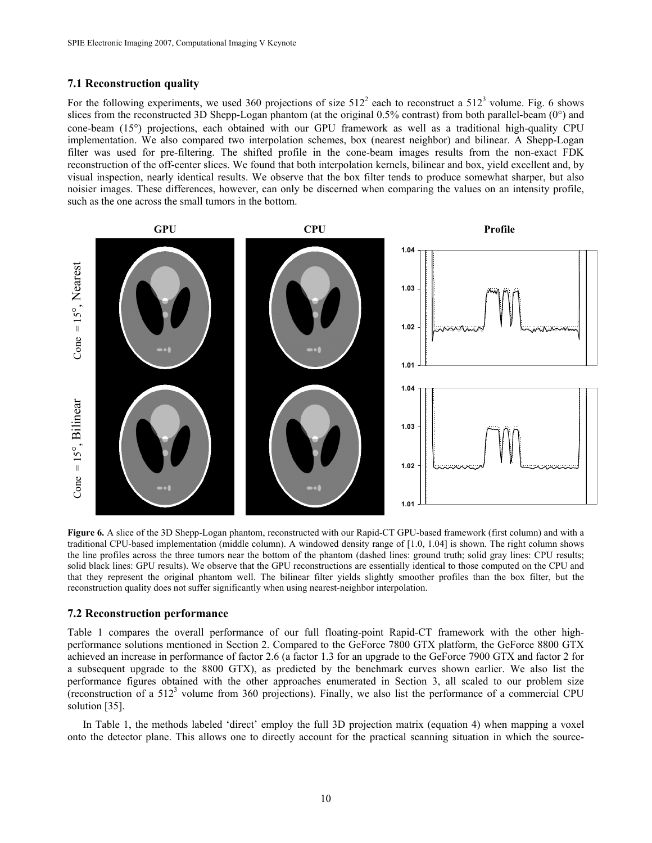### **7.1 Reconstruction quality**

For the following experiments, we used 360 projections of size  $512^2$  each to reconstruct a  $512^3$  volume. Fig. 6 shows slices from the reconstructed 3D Shepp-Logan phantom (at the original 0.5% contrast) from both parallel-beam  $(0^{\circ})$  and cone-beam (15°) projections, each obtained with our GPU framework as well as a traditional high-quality CPU implementation. We also compared two interpolation schemes, box (nearest neighbor) and bilinear. A Shepp-Logan filter was used for pre-filtering. The shifted profile in the cone-beam images results from the non-exact FDK reconstruction of the off-center slices. We found that both interpolation kernels, bilinear and box, yield excellent and, by visual inspection, nearly identical results. We observe that the box filter tends to produce somewhat sharper, but also noisier images. These differences, however, can only be discerned when comparing the values on an intensity profile, such as the one across the small tumors in the bottom.



**Figure 6.** A slice of the 3D Shepp-Logan phantom, reconstructed with our Rapid-CT GPU-based framework (first column) and with a traditional CPU-based implementation (middle column). A windowed density range of [1.0, 1.04] is shown. The right column shows the line profiles across the three tumors near the bottom of the phantom (dashed lines: ground truth; solid gray lines: CPU results; solid black lines: GPU results). We observe that the GPU reconstructions are essentially identical to those computed on the CPU and that they represent the original phantom well. The bilinear filter yields slightly smoother profiles than the box filter, but the reconstruction quality does not suffer significantly when using nearest-neighbor interpolation.

### **7.2 Reconstruction performance**

Table 1 compares the overall performance of our full floating-point Rapid-CT framework with the other highperformance solutions mentioned in Section 2. Compared to the GeForce 7800 GTX platform, the GeForce 8800 GTX achieved an increase in performance of factor 2.6 (a factor 1.3 for an upgrade to the GeForce 7900 GTX and factor 2 for a subsequent upgrade to the 8800 GTX), as predicted by the benchmark curves shown earlier. We also list the performance figures obtained with the other approaches enumerated in Section 3, all scaled to our problem size (reconstruction of a  $512<sup>3</sup>$  volume from 360 projections). Finally, we also list the performance of a commercial CPU solution [35].

In Table 1, the methods labeled 'direct' employ the full 3D projection matrix (equation 4) when mapping a voxel onto the detector plane. This allows one to directly account for the practical scanning situation in which the source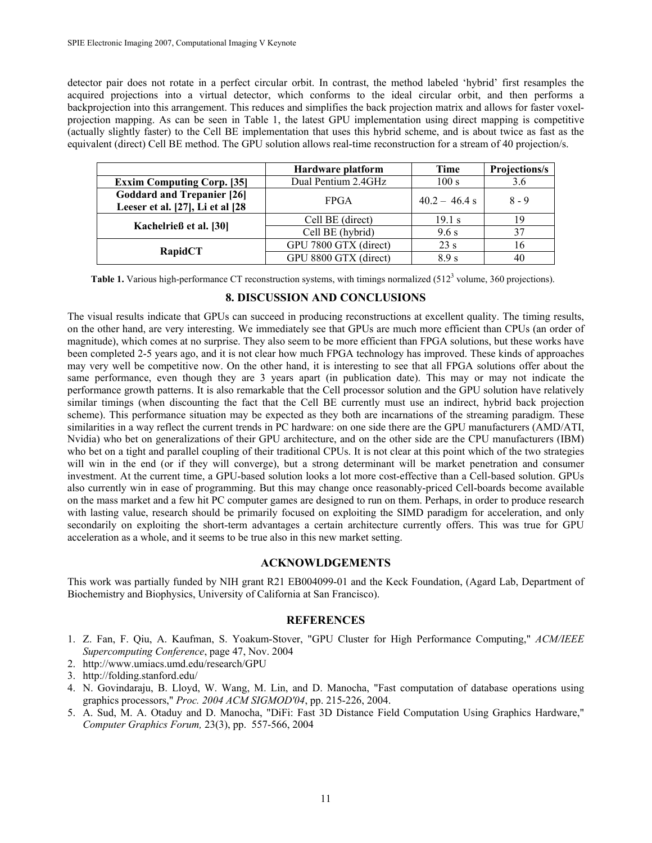detector pair does not rotate in a perfect circular orbit. In contrast, the method labeled 'hybrid' first resamples the acquired projections into a virtual detector, which conforms to the ideal circular orbit, and then performs a backprojection into this arrangement. This reduces and simplifies the back projection matrix and allows for faster voxelprojection mapping. As can be seen in Table 1, the latest GPU implementation using direct mapping is competitive (actually slightly faster) to the Cell BE implementation that uses this hybrid scheme, and is about twice as fast as the equivalent (direct) Cell BE method. The GPU solution allows real-time reconstruction for a stream of 40 projection/s.

|                                                                        | Hardware platform     | Time            | Projections/s |
|------------------------------------------------------------------------|-----------------------|-----------------|---------------|
| <b>Exxim Computing Corp. [35]</b>                                      | Dual Pentium 2.4GHz   | 100 s           | 3.6           |
| <b>Goddard and Trepanier [26]</b><br>Leeser et al. [27], Li et al [28] | <b>FPGA</b>           | $40.2 - 46.4$ s | $8 - 9$       |
| Kachelrieß et al. [30]                                                 | Cell BE (direct)      | 19.1 s          | 19            |
|                                                                        | Cell BE (hybrid)      | 9.6 s           |               |
| RapidCT                                                                | GPU 7800 GTX (direct) | 23 s            | 16            |
|                                                                        | GPU 8800 GTX (direct) | 89s             | 40            |

Table 1. Various high-performance CT reconstruction systems, with timings normalized (512<sup>3</sup> volume, 360 projections).

### **8. DISCUSSION AND CONCLUSIONS**

The visual results indicate that GPUs can succeed in producing reconstructions at excellent quality. The timing results, on the other hand, are very interesting. We immediately see that GPUs are much more efficient than CPUs (an order of magnitude), which comes at no surprise. They also seem to be more efficient than FPGA solutions, but these works have been completed 2-5 years ago, and it is not clear how much FPGA technology has improved. These kinds of approaches may very well be competitive now. On the other hand, it is interesting to see that all FPGA solutions offer about the same performance, even though they are 3 years apart (in publication date). This may or may not indicate the performance growth patterns. It is also remarkable that the Cell processor solution and the GPU solution have relatively similar timings (when discounting the fact that the Cell BE currently must use an indirect, hybrid back projection scheme). This performance situation may be expected as they both are incarnations of the streaming paradigm. These similarities in a way reflect the current trends in PC hardware: on one side there are the GPU manufacturers (AMD/ATI, Nvidia) who bet on generalizations of their GPU architecture, and on the other side are the CPU manufacturers (IBM) who bet on a tight and parallel coupling of their traditional CPUs. It is not clear at this point which of the two strategies will win in the end (or if they will converge), but a strong determinant will be market penetration and consumer investment. At the current time, a GPU-based solution looks a lot more cost-effective than a Cell-based solution. GPUs also currently win in ease of programming. But this may change once reasonably-priced Cell-boards become available on the mass market and a few hit PC computer games are designed to run on them. Perhaps, in order to produce research with lasting value, research should be primarily focused on exploiting the SIMD paradigm for acceleration, and only secondarily on exploiting the short-term advantages a certain architecture currently offers. This was true for GPU acceleration as a whole, and it seems to be true also in this new market setting.

## **ACKNOWLDGEMENTS**

This work was partially funded by NIH grant R21 EB004099-01 and the Keck Foundation, (Agard Lab, Department of Biochemistry and Biophysics, University of California at San Francisco).

### **REFERENCES**

- 1. Z. Fan, F. Qiu, A. Kaufman, S. Yoakum-Stover, "GPU Cluster for High Performance Computing," *ACM/IEEE Supercomputing Conference*, page 47, Nov. 2004
- 2. http://www.umiacs.umd.edu/research/GPU
- 3. http://folding.stanford.edu/
- 4. N. Govindaraju, B. Lloyd, W. Wang, M. Lin, and D. Manocha, "Fast computation of database operations using graphics processors," *Proc. 2004 ACM SIGMOD'04*, pp. 215-226, 2004.
- 5. A. Sud, M. A. Otaduy and D. Manocha, "DiFi: Fast 3D Distance Field Computation Using Graphics Hardware," *Computer Graphics Forum,* 23(3), pp. 557-566, 2004